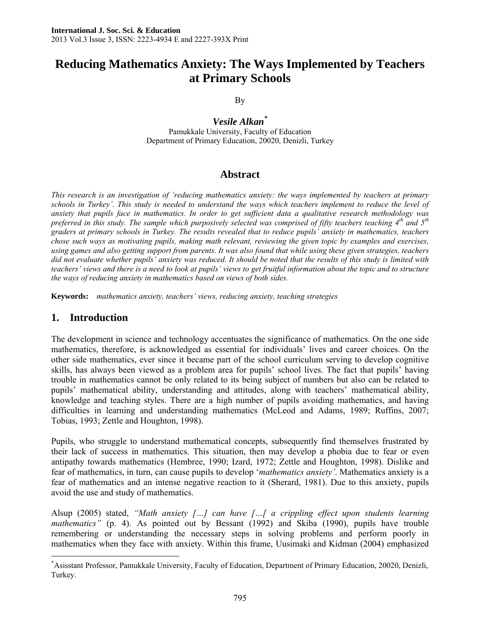# **Reducing Mathematics Anxiety: The Ways Implemented by Teachers at Primary Schools**

By

*Vesile Alkan\** Pamukkale University, Faculty of Education Department of Primary Education, 20020, Denizli, Turkey

### **Abstract**

*This research is an investigation of 'reducing mathematics anxiety: the ways implemented by teachers at primary schools in Turkey'. This study is needed to understand the ways which teachers implement to reduce the level of anxiety that pupils face in mathematics. In order to get sufficient data a qualitative research methodology was preferred in this study. The sample which purposively selected was comprised of fifty teachers teaching 4th and 5th graders at primary schools in Turkey. The results revealed that to reduce pupils' anxiety in mathematics, teachers chose such ways as motivating pupils, making math relevant, reviewing the given topic by examples and exercises, using games and also getting support from parents. It was also found that while using these given strategies, teachers did not evaluate whether pupils' anxiety was reduced. It should be noted that the results of this study is limited with teachers' views and there is a need to look at pupils' views to get fruitful information about the topic and to structure the ways of reducing anxiety in mathematics based on views of both sides.* 

**Keywords:** *mathematics anxiety, teachers' views, reducing anxiety, teaching strategies* 

### **1. Introduction**

The development in science and technology accentuates the significance of mathematics. On the one side mathematics, therefore, is acknowledged as essential for individuals' lives and career choices. On the other side mathematics, ever since it became part of the school curriculum serving to develop cognitive skills, has always been viewed as a problem area for pupils' school lives. The fact that pupils' having trouble in mathematics cannot be only related to its being subject of numbers but also can be related to pupils' mathematical ability, understanding and attitudes, along with teachers' mathematical ability, knowledge and teaching styles. There are a high number of pupils avoiding mathematics, and having difficulties in learning and understanding mathematics (McLeod and Adams, 1989; Ruffins, 2007; Tobias, 1993; Zettle and Houghton, 1998).

Pupils, who struggle to understand mathematical concepts, subsequently find themselves frustrated by their lack of success in mathematics. This situation, then may develop a phobia due to fear or even antipathy towards mathematics (Hembree, 1990; Izard, 1972; Zettle and Houghton, 1998). Dislike and fear of mathematics, in turn, can cause pupils to develop '*mathematics anxiety'*. Mathematics anxiety is a fear of mathematics and an intense negative reaction to it (Sherard, 1981). Due to this anxiety, pupils avoid the use and study of mathematics.

Alsup (2005) stated, *"Math anxiety […] can have […[ a crippling effect upon students learning mathematics"* (p. 4). As pointed out by Bessant (1992) and Skiba (1990), pupils have trouble remembering or understanding the necessary steps in solving problems and perform poorly in mathematics when they face with anxiety. Within this frame, Uusimaki and Kidman (2004) emphasized

 $\overline{a}$ \* Asisstant Professor, Pamukkale University, Faculty of Education, Department of Primary Education, 20020, Denizli, Turkey.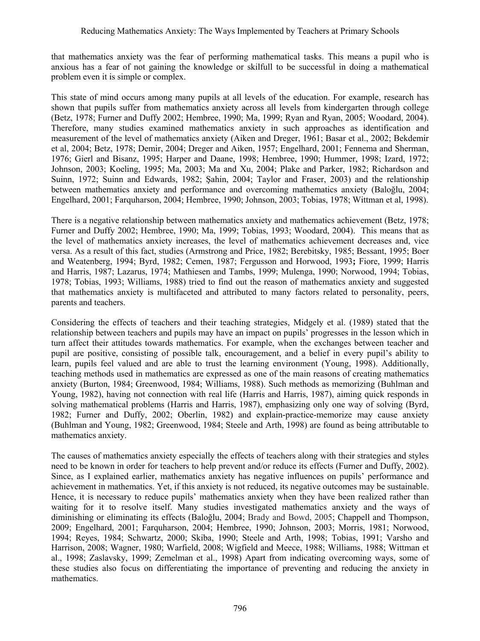that mathematics anxiety was the fear of performing mathematical tasks. This means a pupil who is anxious has a fear of not gaining the knowledge or skilfull to be successful in doing a mathematical problem even it is simple or complex.

This state of mind occurs among many pupils at all levels of the education. For example, research has shown that pupils suffer from mathematics anxiety across all levels from kindergarten through college (Betz, 1978; Furner and Duffy 2002; Hembree, 1990; Ma, 1999; Ryan and Ryan, 2005; Woodard, 2004). Therefore, many studies examined mathematics anxiety in such approaches as identification and measurement of the level of mathematics anxiety (Aiken and Dreger, 1961; Basar et al., 2002; Bekdemir et al, 2004; Betz, 1978; Demir, 2004; Dreger and Aiken, 1957; Engelhard, 2001; Fennema and Sherman, 1976; Gierl and Bisanz, 1995; Harper and Daane, 1998; Hembree, 1990; Hummer, 1998; Izard, 1972; Johnson, 2003; Koeling, 1995; Ma, 2003; Ma and Xu, 2004; Plake and Parker, 1982; Richardson and Suinn, 1972; Suinn and Edwards, 1982; Şahin, 2004; Taylor and Fraser, 2003) and the relationship between mathematics anxiety and performance and overcoming mathematics anxiety (Baloğlu, 2004; Engelhard, 2001; Farquharson, 2004; Hembree, 1990; Johnson, 2003; Tobias, 1978; Wittman et al, 1998).

There is a negative relationship between mathematics anxiety and mathematics achievement (Betz, 1978; Furner and Duffy 2002; Hembree, 1990; Ma, 1999; Tobias, 1993; Woodard, 2004). This means that as the level of mathematics anxiety increases, the level of mathematics achievement decreases and, vice versa. As a result of this fact, studies (Armstrong and Price, 1982; Berebitsky, 1985; Bessant, 1995; Boer and Weatenberg, 1994; Byrd, 1982; Cemen, 1987; Fergusson and Horwood, 1993**;** Fiore, 1999; Harris and Harris, 1987; Lazarus, 1974; Mathiesen and Tambs, 1999; Mulenga, 1990; Norwood, 1994; Tobias, 1978; Tobias, 1993; Williams, 1988) tried to find out the reason of mathematics anxiety and suggested that mathematics anxiety is multifaceted and attributed to many factors related to personality, peers, parents and teachers.

Considering the effects of teachers and their teaching strategies, Midgely et al. (1989) stated that the relationship between teachers and pupils may have an impact on pupils' progresses in the lesson which in turn affect their attitudes towards mathematics. For example, when the exchanges between teacher and pupil are positive, consisting of possible talk, encouragement, and a belief in every pupil's ability to learn, pupils feel valued and are able to trust the learning environment (Young, 1998). Additionally, teaching methods used in mathematics are expressed as one of the main reasons of creating mathematics anxiety (Burton, 1984; Greenwood, 1984; Williams, 1988). Such methods as memorizing (Buhlman and Young, 1982), having not connection with real life (Harris and Harris, 1987), aiming quick responds in solving mathematical problems (Harris and Harris, 1987), emphasizing only one way of solving (Byrd, 1982; Furner and Duffy, 2002; Oberlin, 1982) and explain-practice-memorize may cause anxiety (Buhlman and Young, 1982; Greenwood, 1984; Steele and Arth, 1998) are found as being attributable to mathematics anxiety.

The causes of mathematics anxiety especially the effects of teachers along with their strategies and styles need to be known in order for teachers to help prevent and/or reduce its effects (Furner and Duffy, 2002). Since, as I explained earlier, mathematics anxiety has negative influences on pupils' performance and achievement in mathematics. Yet, if this anxiety is not reduced, its negative outcomes may be sustainable. Hence, it is necessary to reduce pupils' mathematics anxiety when they have been realized rather than waiting for it to resolve itself. Many studies investigated mathematics anxiety and the ways of diminishing or eliminating its effects (Baloğlu, 2004; Brady and Bowd, 2005; Chappell and Thompson, 2009; Engelhard, 2001; Farquharson, 2004; Hembree, 1990; Johnson, 2003; Morris, 1981; Norwood, 1994; Reyes, 1984; Schwartz, 2000; Skiba, 1990; Steele and Arth, 1998; Tobias, 1991; Varsho and Harrison, 2008; Wagner, 1980; Warfield, 2008; Wigfield and Meece, 1988; Williams, 1988; Wittman et al., 1998; Zaslavsky, 1999; Zemelman et al., 1998) Apart from indicating overcoming ways, some of these studies also focus on differentiating the importance of preventing and reducing the anxiety in mathematics.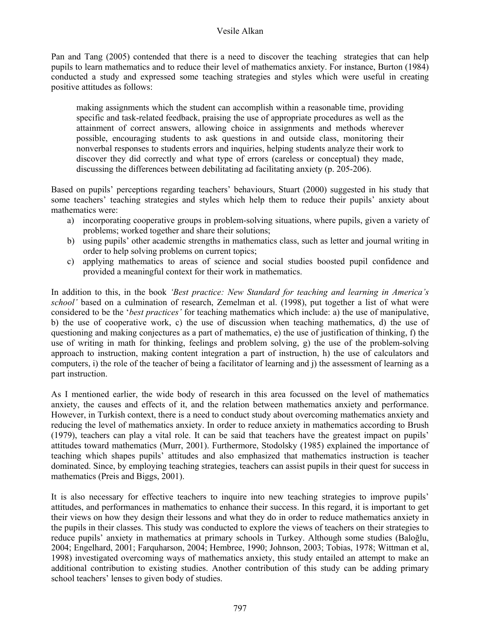#### Vesile Alkan

Pan and Tang (2005) contended that there is a need to discover the teaching strategies that can help pupils to learn mathematics and to reduce their level of mathematics anxiety. For instance, Burton (1984) conducted a study and expressed some teaching strategies and styles which were useful in creating positive attitudes as follows:

making assignments which the student can accomplish within a reasonable time, providing specific and task-related feedback, praising the use of appropriate procedures as well as the attainment of correct answers, allowing choice in assignments and methods wherever possible, encouraging students to ask questions in and outside class, monitoring their nonverbal responses to students errors and inquiries, helping students analyze their work to discover they did correctly and what type of errors (careless or conceptual) they made, discussing the differences between debilitating ad facilitating anxiety (p. 205-206).

Based on pupils' perceptions regarding teachers' behaviours, Stuart (2000) suggested in his study that some teachers' teaching strategies and styles which help them to reduce their pupils' anxiety about mathematics were:

- a) incorporating cooperative groups in problem-solving situations, where pupils, given a variety of problems; worked together and share their solutions;
- b) using pupils' other academic strengths in mathematics class, such as letter and journal writing in order to help solving problems on current topics;
- c) applying mathematics to areas of science and social studies boosted pupil confidence and provided a meaningful context for their work in mathematics.

In addition to this, in the book *'Best practice: New Standard for teaching and learning in America's school'* based on a culmination of research, Zemelman et al. (1998), put together a list of what were considered to be the '*best practices'* for teaching mathematics which include: a) the use of manipulative, b) the use of cooperative work, c) the use of discussion when teaching mathematics, d) the use of questioning and making conjectures as a part of mathematics, e) the use of justification of thinking, f) the use of writing in math for thinking, feelings and problem solving, g) the use of the problem-solving approach to instruction, making content integration a part of instruction, h) the use of calculators and computers, i) the role of the teacher of being a facilitator of learning and j) the assessment of learning as a part instruction.

As I mentioned earlier, the wide body of research in this area focussed on the level of mathematics anxiety, the causes and effects of it, and the relation between mathematics anxiety and performance. However, in Turkish context, there is a need to conduct study about overcoming mathematics anxiety and reducing the level of mathematics anxiety. In order to reduce anxiety in mathematics according to Brush (1979), teachers can play a vital role. It can be said that teachers have the greatest impact on pupils' attitudes toward mathematics (Murr, 2001). Furthermore, Stodolsky (1985) explained the importance of teaching which shapes pupils' attitudes and also emphasized that mathematics instruction is teacher dominated. Since, by employing teaching strategies, teachers can assist pupils in their quest for success in mathematics (Preis and Biggs, 2001).

It is also necessary for effective teachers to inquire into new teaching strategies to improve pupils' attitudes, and performances in mathematics to enhance their success. In this regard, it is important to get their views on how they design their lessons and what they do in order to reduce mathematics anxiety in the pupils in their classes. This study was conducted to explore the views of teachers on their strategies to reduce pupils' anxiety in mathematics at primary schools in Turkey. Although some studies (Baloğlu, 2004; Engelhard, 2001; Farquharson, 2004; Hembree, 1990; Johnson, 2003; Tobias, 1978; Wittman et al, 1998) investigated overcoming ways of mathematics anxiety, this study entailed an attempt to make an additional contribution to existing studies. Another contribution of this study can be adding primary school teachers' lenses to given body of studies.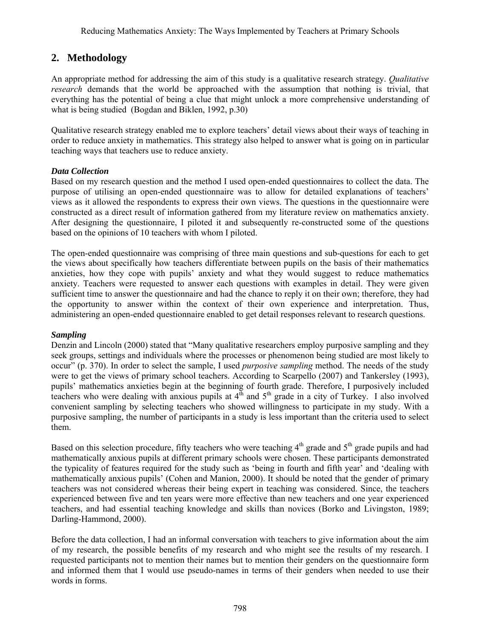## **2. Methodology**

An appropriate method for addressing the aim of this study is a qualitative research strategy. *Qualitative research* demands that the world be approached with the assumption that nothing is trivial, that everything has the potential of being a clue that might unlock a more comprehensive understanding of what is being studied (Bogdan and Biklen, 1992, p.30)

Qualitative research strategy enabled me to explore teachers' detail views about their ways of teaching in order to reduce anxiety in mathematics. This strategy also helped to answer what is going on in particular teaching ways that teachers use to reduce anxiety.

### *Data Collection*

Based on my research question and the method I used open-ended questionnaires to collect the data. The purpose of utilising an open-ended questionnaire was to allow for detailed explanations of teachers' views as it allowed the respondents to express their own views. The questions in the questionnaire were constructed as a direct result of information gathered from my literature review on mathematics anxiety. After designing the questionnaire, I piloted it and subsequently re-constructed some of the questions based on the opinions of 10 teachers with whom I piloted.

The open-ended questionnaire was comprising of three main questions and sub-questions for each to get the views about specifically how teachers differentiate between pupils on the basis of their mathematics anxieties, how they cope with pupils' anxiety and what they would suggest to reduce mathematics anxiety. Teachers were requested to answer each questions with examples in detail. They were given sufficient time to answer the questionnaire and had the chance to reply it on their own; therefore, they had the opportunity to answer within the context of their own experience and interpretation. Thus, administering an open-ended questionnaire enabled to get detail responses relevant to research questions.

### *Sampling*

Denzin and Lincoln (2000) stated that "Many qualitative researchers employ purposive sampling and they seek groups, settings and individuals where the processes or phenomenon being studied are most likely to occur" (p. 370). In order to select the sample, I used *purposive sampling* method. The needs of the study were to get the views of primary school teachers. According to Scarpello (2007) and Tankersley (1993), pupils' mathematics anxieties begin at the beginning of fourth grade. Therefore, I purposively included teachers who were dealing with anxious pupils at  $4<sup>th</sup>$  and  $5<sup>th</sup>$  grade in a city of Turkey. I also involved convenient sampling by selecting teachers who showed willingness to participate in my study. With a purposive sampling, the number of participants in a study is less important than the criteria used to select them.

Based on this selection procedure, fifty teachers who were teaching  $4<sup>th</sup>$  grade and  $5<sup>th</sup>$  grade pupils and had mathematically anxious pupils at different primary schools were chosen. These participants demonstrated the typicality of features required for the study such as 'being in fourth and fifth year' and 'dealing with mathematically anxious pupils' (Cohen and Manion, 2000). It should be noted that the gender of primary teachers was not considered whereas their being expert in teaching was considered. Since, the teachers experienced between five and ten years were more effective than new teachers and one year experienced teachers, and had essential teaching knowledge and skills than novices (Borko and Livingston, 1989; Darling-Hammond, 2000).

Before the data collection, I had an informal conversation with teachers to give information about the aim of my research, the possible benefits of my research and who might see the results of my research. I requested participants not to mention their names but to mention their genders on the questionnaire form and informed them that I would use pseudo-names in terms of their genders when needed to use their words in forms.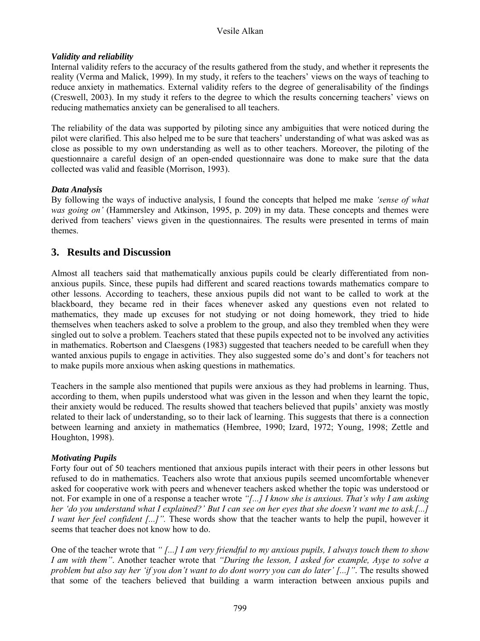### *Validity and reliability*

Internal validity refers to the accuracy of the results gathered from the study, and whether it represents the reality (Verma and Malick, 1999). In my study, it refers to the teachers' views on the ways of teaching to reduce anxiety in mathematics. External validity refers to the degree of generalisability of the findings (Creswell, 2003). In my study it refers to the degree to which the results concerning teachers' views on reducing mathematics anxiety can be generalised to all teachers.

The reliability of the data was supported by piloting since any ambiguities that were noticed during the pilot were clarified. This also helped me to be sure that teachers' understanding of what was asked was as close as possible to my own understanding as well as to other teachers. Moreover, the piloting of the questionnaire a careful design of an open-ended questionnaire was done to make sure that the data collected was valid and feasible (Morrison, 1993).

### *Data Analysis*

By following the ways of inductive analysis, I found the concepts that helped me make *'sense of what was going on'* (Hammersley and Atkinson, 1995, p. 209) in my data. These concepts and themes were derived from teachers' views given in the questionnaires. The results were presented in terms of main themes.

### **3. Results and Discussion**

Almost all teachers said that mathematically anxious pupils could be clearly differentiated from nonanxious pupils. Since, these pupils had different and scared reactions towards mathematics compare to other lessons. According to teachers, these anxious pupils did not want to be called to work at the blackboard, they became red in their faces whenever asked any questions even not related to mathematics, they made up excuses for not studying or not doing homework, they tried to hide themselves when teachers asked to solve a problem to the group, and also they trembled when they were singled out to solve a problem. Teachers stated that these pupils expected not to be involved any activities in mathematics. Robertson and Claesgens (1983) suggested that teachers needed to be carefull when they wanted anxious pupils to engage in activities. They also suggested some do's and dont's for teachers not to make pupils more anxious when asking questions in mathematics.

Teachers in the sample also mentioned that pupils were anxious as they had problems in learning. Thus, according to them, when pupils understood what was given in the lesson and when they learnt the topic, their anxiety would be reduced. The results showed that teachers believed that pupils' anxiety was mostly related to their lack of understanding, so to their lack of learning. This suggests that there is a connection between learning and anxiety in mathematics (Hembree, 1990; Izard, 1972; Young, 1998; Zettle and Houghton, 1998).

### *Motivating Pupils*

Forty four out of 50 teachers mentioned that anxious pupils interact with their peers in other lessons but refused to do in mathematics. Teachers also wrote that anxious pupils seemed uncomfortable whenever asked for cooperative work with peers and whenever teachers asked whether the topic was understood or not. For example in one of a response a teacher wrote *"[...] I know she is anxious. That's why I am asking her 'do you understand what I explained?' But I can see on her eyes that she doesn't want me to ask.[...] I want her feel confident [...]".* These words show that the teacher wants to help the pupil, however it seems that teacher does not know how to do.

One of the teacher wrote that *" [...] I am very friendful to my anxious pupils, I always touch them to show I am with them"*. Another teacher wrote that *"During the lesson, I asked for example, Ayşe to solve a problem but also say her 'if you don't want to do dont worry you can do later' [...]"*. The results showed that some of the teachers believed that building a warm interaction between anxious pupils and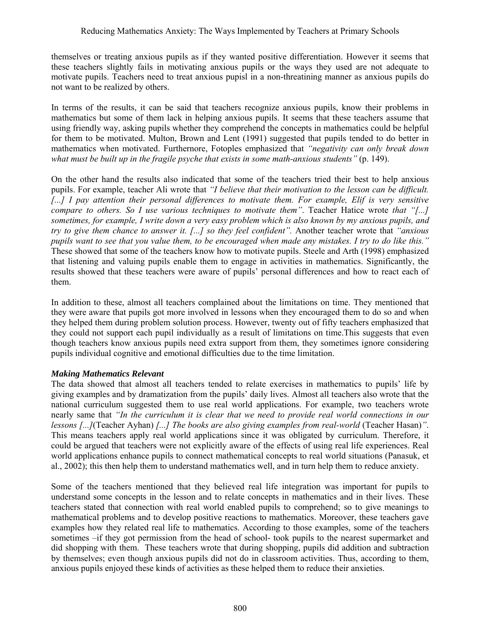themselves or treating anxious pupils as if they wanted positive differentiation. However it seems that these teachers slightly fails in motivating anxious pupils or the ways they used are not adequate to motivate pupils. Teachers need to treat anxious pupisl in a non-threatining manner as anxious pupils do not want to be realized by others.

In terms of the results, it can be said that teachers recognize anxious pupils, know their problems in mathematics but some of them lack in helping anxious pupils. It seems that these teachers assume that using friendly way, asking pupils whether they comprehend the concepts in mathematics could be helpful for them to be motivated. Multon, Brown and Lent (1991) suggested that pupils tended to do better in mathematics when motivated. Furthernore, Fotoples emphasized that *"negativity can only break down what must be built up in the fragile psyche that exists in some math-anxious students"* (p. 149).

On the other hand the results also indicated that some of the teachers tried their best to help anxious pupils. For example, teacher Ali wrote that *"I believe that their motivation to the lesson can be difficult.*  [...] I pay attention their personal differences to motivate them. For example, Elif is very sensitive *compare to others. So I use various techniques to motivate them"*. Teacher Hatice wrote *that "[...] sometimes, for example, I write down a very easy problem which is also known by my anxious pupils, and try to give them chance to answer it. [...] so they feel confident".* Another teacher wrote that *"anxious pupils want to see that you value them, to be encouraged when made any mistakes. I try to do like this."* These showed that some of the teachers know how to motivate pupils. Steele and Arth (1998) emphasized that listening and valuing pupils enable them to engage in activities in mathematics. Significantly, the results showed that these teachers were aware of pupils' personal differences and how to react each of them.

In addition to these, almost all teachers complained about the limitations on time. They mentioned that they were aware that pupils got more involved in lessons when they encouraged them to do so and when they helped them during problem solution process. However, twenty out of fifty teachers emphasized that they could not support each pupil individually as a result of limitations on time.This suggests that even though teachers know anxious pupils need extra support from them, they sometimes ignore considering pupils individual cognitive and emotional difficulties due to the time limitation.

### *Making Mathematics Relevant*

The data showed that almost all teachers tended to relate exercises in mathematics to pupils' life by giving examples and by dramatization from the pupils' daily lives. Almost all teachers also wrote that the national curriculum suggested them to use real world applications. For example, two teachers wrote nearly same that *"In the curriculum it is clear that we need to provide real world connections in our lessons [...]*(Teacher Ayhan) *[...] The books are also giving examples from real-world* (Teacher Hasan)*"*. This means teachers apply real world applications since it was obligated by curriculum. Therefore, it could be argued that teachers were not explicitly aware of the effects of using real life experiences. Real world applications enhance pupils to connect mathematical concepts to real world situations (Panasuk, et al., 2002); this then help them to understand mathematics well, and in turn help them to reduce anxiety.

Some of the teachers mentioned that they believed real life integration was important for pupils to understand some concepts in the lesson and to relate concepts in mathematics and in their lives. These teachers stated that connection with real world enabled pupils to comprehend; so to give meanings to mathematical problems and to develop positive reactions to mathematics. Moreover, these teachers gave examples how they related real life to mathematics. According to those examples, some of the teachers sometimes –if they got permission from the head of school- took pupils to the nearest supermarket and did shopping with them. These teachers wrote that during shopping, pupils did addition and subtraction by themselves; even though anxious pupils did not do in classroom activities. Thus, according to them, anxious pupils enjoyed these kinds of activities as these helped them to reduce their anxieties.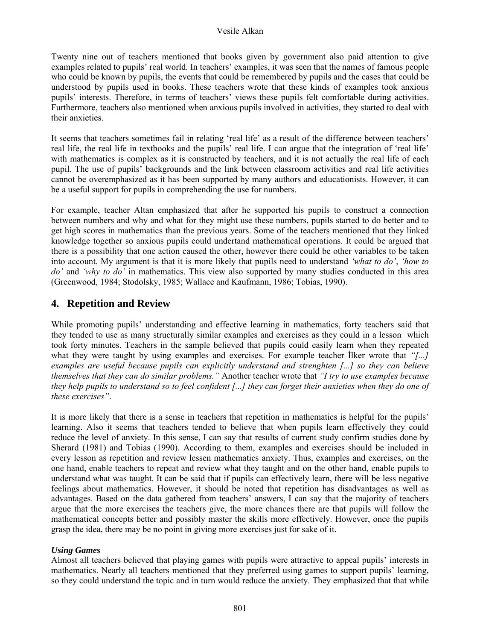#### Vesile Alkan

Twenty nine out of teachers mentioned that books given by government also paid attention to give examples related to pupils' real world. In teachers' examples, it was seen that the names of famous people who could be known by pupils, the events that could be remembered by pupils and the cases that could be understood by pupils used in books. These teachers wrote that these kinds of examples took anxious pupils' interests. Therefore, in terms of teachers' views these pupils felt comfortable during activities. Furthermore, teachers also mentioned when anxious pupils involved in activities, they started to deal with their anxieties.

It seems that teachers sometimes fail in relating 'real life' as a result of the difference between teachers' real life, the real life in textbooks and the pupils' real life. I can argue that the integration of 'real life' with mathematics is complex as it is constructed by teachers, and it is not actually the real life of each pupil. The use of pupils' backgrounds and the link between classroom activities and real life activities cannot be overemphasized as it has been supported by many authors and educationists. However, it can be a useful support for pupils in comprehending the use for numbers.

For example, teacher Altan emphasized that after he supported his pupils to construct a connection between numbers and why and what for they might use these numbers, pupils started to do better and to get high scores in mathematics than the previous years. Some of the teachers mentioned that they linked knowledge together so anxious pupils could undertand mathematical operations. It could be argued that there is a possibility that one action caused the other, however there could be other variables to be taken into account. My argument is that it is more likely that pupils need to understand *'what to do'*, *'how to do'* and *'why to do'* in mathematics. This view also supported by many studies conducted in this area (Greenwood, 1984; Stodolsky, 1985; Wallace and Kaufmann, 1986; Tobias, 1990).

### **4. Repetition and Review**

While promoting pupils' understanding and effective learning in mathematics, forty teachers said that they tended to use as many structurally similar examples and exercises as they could in a lesson which took forty minutes. Teachers in the sample believed that pupils could easily learn when they repeated what they were taught by using examples and exercises. For example teacher İlker wrote that *"[...] examples are useful because pupils can explicitly understand and strenghten [...] so they can believe themselves that they can do similar problems."* Another teacher wrote that *"I try to use examples because they help pupils to understand so to feel confident [...] they can forget their anxieties when they do one of these exercises"*.

It is more likely that there is a sense in teachers that repetition in mathematics is helpful for the pupils' learning. Also it seems that teachers tended to believe that when pupils learn effectively they could reduce the level of anxiety. In this sense, I can say that results of current study confirm studies done by Sherard (1981) and Tobias (1990). According to them, examples and exercises should be included in every lesson as repetition and review lessen mathematics anxiety. Thus, examples and exercises, on the one hand, enable teachers to repeat and review what they taught and on the other hand, enable pupils to understand what was taught. It can be said that if pupils can effectively learn, there will be less negative feelings about mathematics. However, it should be noted that repetition has disadvantages as well as advantages. Based on the data gathered from teachers' answers, I can say that the majority of teachers argue that the more exercises the teachers give, the more chances there are that pupils will follow the mathematical concepts better and possibly master the skills more effectively. However, once the pupils grasp the idea, there may be no point in giving more exercises just for sake of it.

### *Using Games*

Almost all teachers believed that playing games with pupils were attractive to appeal pupils' interests in mathematics. Nearly all teachers mentioned that they preferred using games to support pupils' learning, so they could understand the topic and in turn would reduce the anxiety. They emphasized that that while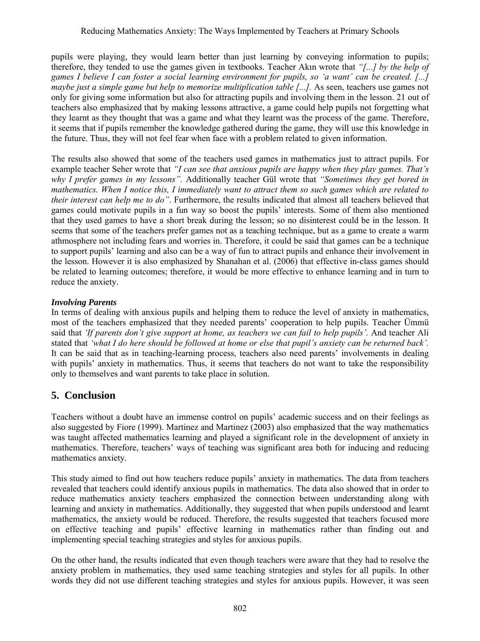pupils were playing, they would learn better than just learning by conveying information to pupils; therefore, they tended to use the games given in textbooks. Teacher Akın wrote that *"[...] by the help of games I believe I can foster a social learning environment for pupils, so 'a want' can be created. [...] maybe just a simple game but help to memorize multiplication table [...].* As seen, teachers use games not only for giving some information but also for attracting pupils and involving them in the lesson. 21 out of teachers also emphasized that by making lessons attractive, a game could help pupils not forgetting what they learnt as they thought that was a game and what they learnt was the process of the game. Therefore, it seems that if pupils remember the knowledge gathered during the game, they will use this knowledge in the future. Thus, they will not feel fear when face with a problem related to given information.

The results also showed that some of the teachers used games in mathematics just to attract pupils. For example teacher Seher wrote that *"I can see that anxious pupils are happy when they play games. That's why I prefer games in my lessons".* Additionally teacher Gül wrote that *"Sometimes they get bored in mathematics. When I notice this, I immediately want to attract them so such games which are related to their interest can help me to do"*. Furthermore, the results indicated that almost all teachers believed that games could motivate pupils in a fun way so boost the pupils' interests. Some of them also mentioned that they used games to have a short break during the lesson; so no disinterest could be in the lesson. It seems that some of the teachers prefer games not as a teaching technique, but as a game to create a warm athmosphere not including fears and worries in. Therefore, it could be said that games can be a technique to support pupils' learning and also can be a way of fun to attract pupils and enhance their involvement in the lesson. However it is also emphasized by Shanahan et al. (2006) that effective in-class games should be related to learning outcomes; therefore, it would be more effective to enhance learning and in turn to reduce the anxiety.

### *Involving Parents*

In terms of dealing with anxious pupils and helping them to reduce the level of anxiety in mathematics, most of the teachers emphasized that they needed parents' cooperation to help pupils. Teacher Ümmü said that *'If parents don't give support at home, as teachers we can fail to help pupils'.* And teacher Ali stated that *'what I do here should be followed at home or else that pupil's anxiety can be returned back'.* It can be said that as in teaching-learning process, teachers also need parents' involvements in dealing with pupils' anxiety in mathematics. Thus, it seems that teachers do not want to take the responsibility only to themselves and want parents to take place in solution.

## **5. Conclusion**

Teachers without a doubt have an immense control on pupils' academic success and on their feelings as also suggested by Fiore (1999). Martinez and Martinez (2003) also emphasized that the way mathematics was taught affected mathematics learning and played a significant role in the development of anxiety in mathematics. Therefore, teachers' ways of teaching was significant area both for inducing and reducing mathematics anxiety.

This study aimed to find out how teachers reduce pupils' anxiety in mathematics. The data from teachers revealed that teachers could identify anxious pupils in mathematics. The data also showed that in order to reduce mathematics anxiety teachers emphasized the connection between understanding along with learning and anxiety in mathematics. Additionally, they suggested that when pupils understood and learnt mathematics, the anxiety would be reduced. Therefore, the results suggested that teachers focused more on effective teaching and pupils' effective learning in mathematics rather than finding out and implementing special teaching strategies and styles for anxious pupils.

On the other hand, the results indicated that even though teachers were aware that they had to resolve the anxiety problem in mathematics, they used same teaching strategies and styles for all pupils. In other words they did not use different teaching strategies and styles for anxious pupils. However, it was seen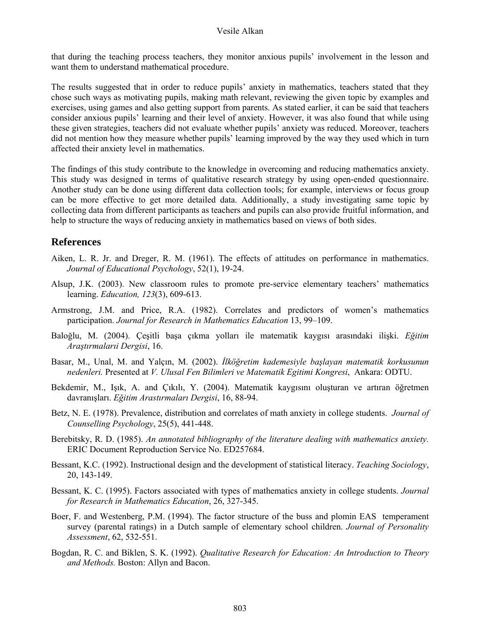that during the teaching process teachers, they monitor anxious pupils' involvement in the lesson and want them to understand mathematical procedure.

The results suggested that in order to reduce pupils' anxiety in mathematics, teachers stated that they chose such ways as motivating pupils, making math relevant, reviewing the given topic by examples and exercises, using games and also getting support from parents. As stated earlier, it can be said that teachers consider anxious pupils' learning and their level of anxiety. However, it was also found that while using these given strategies, teachers did not evaluate whether pupils' anxiety was reduced. Moreover, teachers did not mention how they measure whether pupils' learning improved by the way they used which in turn affected their anxiety level in mathematics.

The findings of this study contribute to the knowledge in overcoming and reducing mathematics anxiety. This study was designed in terms of qualitative research strategy by using open-ended questionnaire. Another study can be done using different data collection tools; for example, interviews or focus group can be more effective to get more detailed data. Additionally, a study investigating same topic by collecting data from different participants as teachers and pupils can also provide fruitful information, and help to structure the ways of reducing anxiety in mathematics based on views of both sides.

### **References**

- Aiken, L. R. Jr. and Dreger, R. M. (1961). The effects of attitudes on performance in mathematics. *Journal of Educational Psychology*, 52(1), 19-24.
- Alsup, J.K. (2003). New classroom rules to promote pre-service elementary teachers' mathematics learning. *Education, 123*(3), 609-613.
- Armstrong, J.M. and Price, R.A. (1982). Correlates and predictors of women's mathematics participation. *Journal for Research in Mathematics Education* 13, 99–109.
- Baloğlu, M. (2004). Çeşitli başa çıkma yolları ile matematik kaygısı arasındaki ilişki. *Eğitim Araştırmalarıi Dergisi*, 16.
- Basar, M., Unal, M. and Yalçın, M. (2002). *İlköğretim kademesiyle başlayan matematik korkusunun nedenleri.* Presented at *V. Ulusal Fen Bilimleri ve Matematik Egitimi Kongresi*, Ankara: ODTU.
- Bekdemir, M., Işık, A. and Çıkılı, Y. (2004). Matematik kaygısını oluşturan ve artıran öğretmen davranışları. *Eğitim Arastırmaları Dergisi*, 16, 88-94.
- Betz, N. E. (1978). Prevalence, distribution and correlates of math anxiety in college students. *Journal of Counselling Psychology*, 25(5), 441-448.
- Berebitsky, R. D. (1985). *An annotated bibliography of the literature dealing with mathematics anxiety.* ERIC Document Reproduction Service No. ED257684.
- Bessant, K.C. (1992). Instructional design and the development of statistical literacy. *Teaching Sociology*, 20, 143-149.
- Bessant, K. C. (1995). Factors associated with types of mathematics anxiety in college students. *Journal for Research in Mathematics Education*, 26, 327-345.
- Boer, F. and Westenberg, P.M. (1994). The factor structure of the buss and plomin EAS temperament survey (parental ratings) in a Dutch sample of elementary school children. *Journal of Personality Assessment*, 62, 532-551.
- Bogdan, R. C. and Biklen, S. K. (1992). *Qualitative Research for Education: An Introduction to Theory and Methods.* Boston: Allyn and Bacon.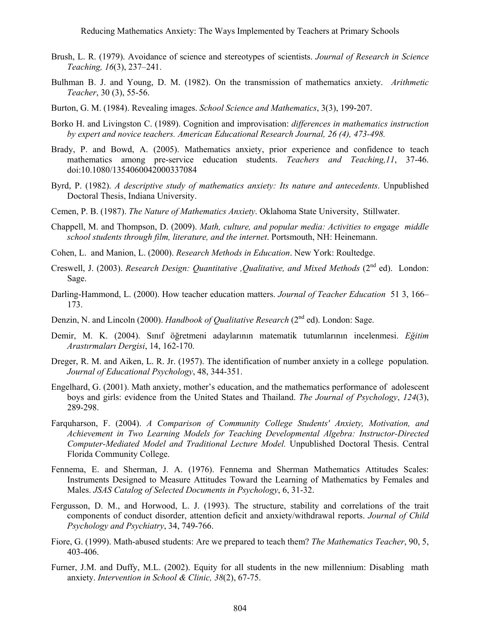Reducing Mathematics Anxiety: The Ways Implemented by Teachers at Primary Schools

- Brush, L. R. (1979). Avoidance of science and stereotypes of scientists. *Journal of Research in Science Teaching, 16*(3), 237–241.
- Bulhman B. J. and Young, D. M. (1982). On the transmission of mathematics anxiety. *Arithmetic Teacher*, 30 (3), 55-56.
- Burton, G. M. (1984). Revealing images. *School Science and Mathematics*, 3(3), 199-207.
- Borko H. and Livingston C. (1989). Cognition and improvisation: *differences in mathematics instruction by expert and novice teachers. American Educational Research Journal, 26 (4), 473-498.*
- Brady, P. and Bowd, A. (2005). Mathematics anxiety, prior experience and confidence to teach mathematics among pre-service education students. *Teachers and Teaching,11*, 37-46. doi:10.1080/1354060042000337084
- Byrd, P. (1982). *A descriptive study of mathematics anxiety: Its nature and antecedents*. Unpublished Doctoral Thesis, Indiana University.
- Cemen, P. B. (1987). *The Nature of Mathematics Anxiety*. Oklahoma State University, Stillwater.
- Chappell, M. and Thompson, D. (2009). *Math, culture, and popular media: Activities to engage middle school students through film, literature, and the internet*. Portsmouth, NH: Heinemann.
- Cohen, L. and Manion, L. (2000). *Research Methods in Education*. New York: Roultedge.
- Creswell, J. (2003). *Research Design: Quantitative ,Qualitative, and Mixed Methods* (2<sup>nd</sup> ed). London: Sage.
- Darling-Hammond, L. (2000). How teacher education matters. *Journal of Teacher Education* 51 3, 166– 173.
- Denzin, N. and Lincoln (2000). *Handbook of Qualitative Research* (2nd ed). London: Sage.
- Demir, M. K. (2004). Sınıf öğretmeni adaylarının matematik tutumlarının incelenmesi. *Eğitim Arastırmaları Dergisi*, 14, 162-170.
- Dreger, R. M. and Aiken, L. R. Jr. (1957). The identification of number anxiety in a college population. *Journal of Educational Psychology*, 48, 344-351.
- Engelhard, G. (2001). Math anxiety, mother's education, and the mathematics performance of adolescent boys and girls: evidence from the United States and Thailand. *The Journal of Psychology*, *124*(3), 289-298.
- Farquharson, F. (2004). *A Comparison of Community College Students' Anxiety, Motivation, and Achievement in Two Learning Models for Teaching Developmental Algebra: Instructor-Directed Computer-Mediated Model and Traditional Lecture Model.* Unpublished Doctoral Thesis. Central Florida Community College.
- Fennema, E. and Sherman, J. A. (1976). Fennema and Sherman Mathematics Attitudes Scales: Instruments Designed to Measure Attitudes Toward the Learning of Mathematics by Females and Males. *JSAS Catalog of Selected Documents in Psychology*, 6, 31-32.
- Fergusson, D. M., and Horwood, L. J. (1993). The structure, stability and correlations of the trait components of conduct disorder, attention deficit and anxiety/withdrawal reports. *Journal of Child Psychology and Psychiatry*, 34, 749-766.
- Fiore, G. (1999). Math-abused students: Are we prepared to teach them? *The Mathematics Teacher*, 90, 5, 403-406.
- Furner, J.M. and Duffy, M.L. (2002). Equity for all students in the new millennium: Disabling math anxiety. *Intervention in School & Clinic, 38*(2), 67-75.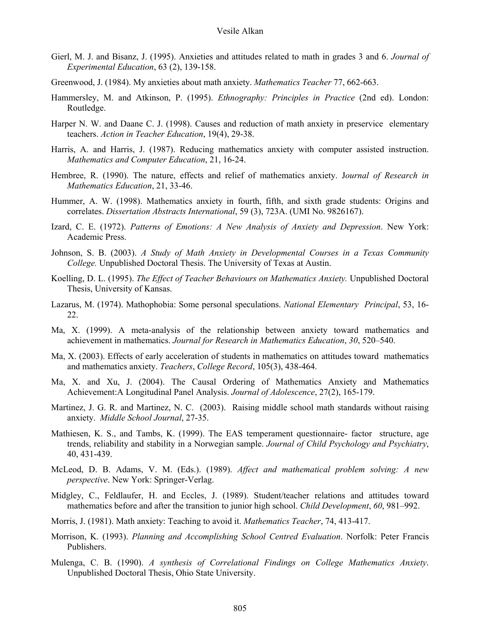- Gierl, M. J. and Bisanz, J. (1995). Anxieties and attitudes related to math in grades 3 and 6. *Journal of Experimental Education*, 63 (2), 139-158.
- Greenwood, J. (1984). My anxieties about math anxiety. *Mathematics Teacher* 77, 662-663.
- Hammersley, M. and Atkinson, P. (1995). *Ethnography: Principles in Practice* (2nd ed). London: Routledge.
- Harper N. W. and Daane C. J. (1998). Causes and reduction of math anxiety in preservice elementary teachers. *Action in Teacher Education*, 19(4), 29-38.
- Harris, A. and Harris, J. (1987). Reducing mathematics anxiety with computer assisted instruction. *Mathematics and Computer Education*, 21, 16-24.
- Hembree, R. (1990). The nature, effects and relief of mathematics anxiety. J*ournal of Research in Mathematics Education*, 21, 33-46.
- Hummer, A. W. (1998). Mathematics anxiety in fourth, fifth, and sixth grade students: Origins and correlates. *Dissertation Abstracts International*, 59 (3), 723A. (UMI No. 9826167).
- Izard, C. E. (1972). *Patterns of Emotions: A New Analysis of Anxiety and Depression*. New York: Academic Press.
- Johnson, S. B. (2003). *A Study of Math Anxiety in Developmental Courses in a Texas Community College.* Unpublished Doctoral Thesis. The University of Texas at Austin.
- Koelling, D. L. (1995). *The Effect of Teacher Behaviours on Mathematics Anxiety.* Unpublished Doctoral Thesis, University of Kansas.
- Lazarus, M. (1974). Mathophobia: Some personal speculations. *National Elementary Principal*, 53, 16- 22.
- Ma, X. (1999). A meta-analysis of the relationship between anxiety toward mathematics and achievement in mathematics. *Journal for Research in Mathematics Education*, *30*, 520–540.
- Ma, X. (2003). Effects of early acceleration of students in mathematics on attitudes toward mathematics and mathematics anxiety. *Teachers*, *College Record*, 105(3), 438-464.
- Ma, X. and Xu, J. (2004). The Causal Ordering of Mathematics Anxiety and Mathematics Achievement:A Longitudinal Panel Analysis. *Journal of Adolescence*, 27(2), 165-179.
- Martinez, J. G. R. and Martinez, N. C. (2003). Raising middle school math standards without raising anxiety. *Middle School Journal*, 27-35.
- Mathiesen, K. S., and Tambs, K. (1999). The EAS temperament questionnaire- factor structure, age trends, reliability and stability in a Norwegian sample. *Journal of Child Psychology and Psychiatry*, 40, 431-439.
- McLeod, D. B. Adams, V. M. (Eds.). (1989). *Affect and mathematical problem solving: A new perspective*. New York: Springer-Verlag.
- Midgley, C., Feldlaufer, H. and Eccles, J. (1989). Student/teacher relations and attitudes toward mathematics before and after the transition to junior high school. *Child Development*, *60*, 981–992.
- Morris, J. (1981). Math anxiety: Teaching to avoid it. *Mathematics Teacher*, 74, 413-417.
- Morrison, K. (1993). *Planning and Accomplishing School Centred Evaluation*. Norfolk: Peter Francis Publishers.
- Mulenga, C. B. (1990). *A synthesis of Correlational Findings on College Mathematics Anxiety*. Unpublished Doctoral Thesis, Ohio State University.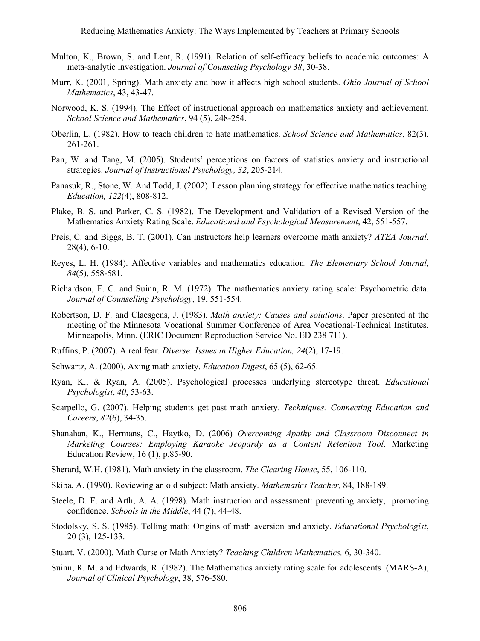- Multon, K., Brown, S. and Lent, R. (1991). Relation of self-efficacy beliefs to academic outcomes: A meta-analytic investigation. *Journal of Counseling Psychology 38*, 30-38.
- Murr, K. (2001, Spring). Math anxiety and how it affects high school students. *Ohio Journal of School Mathematics*, 43, 43-47.
- Norwood, K. S. (1994). The Effect of instructional approach on mathematics anxiety and achievement. *School Science and Mathematics*, 94 (5), 248-254.
- Oberlin, L. (1982). How to teach children to hate mathematics. *School Science and Mathematics*, 82(3), 261-261.
- Pan, W. and Tang, M. (2005). Students' perceptions on factors of statistics anxiety and instructional strategies. *Journal of Instructional Psychology, 32*, 205-214.
- Panasuk, R., Stone, W. And Todd, J. (2002). Lesson planning strategy for effective mathematics teaching. *Education, 122*(4), 808-812.
- Plake, B. S. and Parker, C. S. (1982). The Development and Validation of a Revised Version of the Mathematics Anxiety Rating Scale. *Educational and Psychological Measurement*, 42, 551-557.
- Preis, C. and Biggs, B. T. (2001). Can instructors help learners overcome math anxiety? *ATEA Journal*, 28(4), 6-10.
- Reyes, L. H. (1984). Affective variables and mathematics education. *The Elementary School Journal, 84*(5), 558-581.
- Richardson, F. C. and Suinn, R. M. (1972). The mathematics anxiety rating scale: Psychometric data. *Journal of Counselling Psychology*, 19, 551-554.
- Robertson, D. F. and Claesgens, J. (1983). *Math anxiety: Causes and solutions*. Paper presented at the meeting of the Minnesota Vocational Summer Conference of Area Vocational-Technical Institutes, Minneapolis, Minn. (ERIC Document Reproduction Service No. ED 238 711).
- Ruffins, P. (2007). A real fear. *Diverse: Issues in Higher Education, 24*(2), 17-19.
- Schwartz, A. (2000). Axing math anxiety. *Education Digest*, 65 (5), 62-65.
- Ryan, K., & Ryan, A. (2005). Psychological processes underlying stereotype threat. *Educational Psychologist*, *40*, 53-63.
- Scarpello, G. (2007). Helping students get past math anxiety. *Techniques: Connecting Education and Careers*, *82*(6), 34-35.
- Shanahan, K., Hermans, C., Haytko, D. (2006) *Overcoming Apathy and Classroom Disconnect in Marketing Courses: Employing Karaoke Jeopardy as a Content Retention Tool*. Marketing Education Review, 16 (1), p.85-90.
- Sherard, W.H. (1981). Math anxiety in the classroom. *The Clearing House*, 55, 106-110.
- Skiba, A. (1990). Reviewing an old subject: Math anxiety. *Mathematics Teacher,* 84, 188-189.
- Steele, D. F. and Arth, A. A. (1998). Math instruction and assessment: preventing anxiety, promoting confidence. *Schools in the Middle*, 44 (7), 44-48.
- Stodolsky, S. S. (1985). Telling math: Origins of math aversion and anxiety. *Educational Psychologist*, 20 (3), 125-133.
- Stuart, V. (2000). Math Curse or Math Anxiety? *Teaching Children Mathematics,* 6, 30-340.
- Suinn, R. M. and Edwards, R. (1982). The Mathematics anxiety rating scale for adolescents (MARS-A), *Journal of Clinical Psychology*, 38, 576-580.